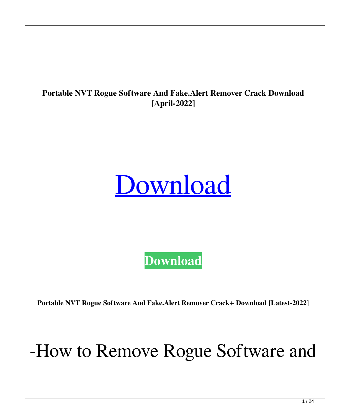#### **Portable NVT Rogue Software And Fake.Alert Remover Crack Download [April-2022]**

# [Download](http://evacdir.com/burnet/fixes/ZG93bmxvYWR8bmo0TVhkclpueDhNVFkxTkRRek5qWTFPSHg4TWpVNU1IeDhLRTBwSUZkdmNtUndjbVZ6Y3lCYldFMU1VbEJESUZZeUlGQkVSbDA.morebigbrother/hydrophilic.UG9ydGFibGUgTlZUIFJvZ3VlIFNvZnR3YXJlIGFuZCBGYWtlLkFsZXJ0IFJlbW92ZXIUG9.davidz?pooch=taryn)

**[Download](http://evacdir.com/burnet/fixes/ZG93bmxvYWR8bmo0TVhkclpueDhNVFkxTkRRek5qWTFPSHg4TWpVNU1IeDhLRTBwSUZkdmNtUndjbVZ6Y3lCYldFMU1VbEJESUZZeUlGQkVSbDA.morebigbrother/hydrophilic.UG9ydGFibGUgTlZUIFJvZ3VlIFNvZnR3YXJlIGFuZCBGYWtlLkFsZXJ0IFJlbW92ZXIUG9.davidz?pooch=taryn)**

**Portable NVT Rogue Software And Fake.Alert Remover Crack+ Download [Latest-2022]**

#### -How to Remove Rogue Software and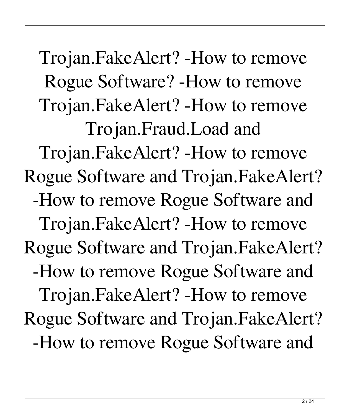Trojan.FakeAlert? -How to remove Rogue Software? -How to remove Trojan.FakeAlert? -How to remove Trojan.Fraud.Load and Trojan.FakeAlert? -How to remove Rogue Software and Trojan.FakeAlert? -How to remove Rogue Software and Trojan.FakeAlert? -How to remove Rogue Software and Trojan.FakeAlert? -How to remove Rogue Software and Trojan.FakeAlert? -How to remove Rogue Software and Trojan.FakeAlert? -How to remove Rogue Software and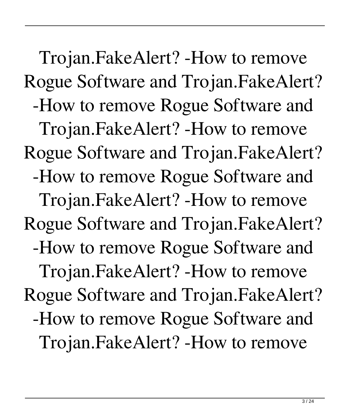Trojan.FakeAlert? -How to remove Rogue Software and Trojan.FakeAlert? -How to remove Rogue Software and Trojan.FakeAlert? -How to remove Rogue Software and Trojan.FakeAlert? -How to remove Rogue Software and Trojan.FakeAlert? -How to remove Rogue Software and Trojan.FakeAlert? -How to remove Rogue Software and Trojan.FakeAlert? -How to remove Rogue Software and Trojan.FakeAlert? -How to remove Rogue Software and Trojan.FakeAlert? -How to remove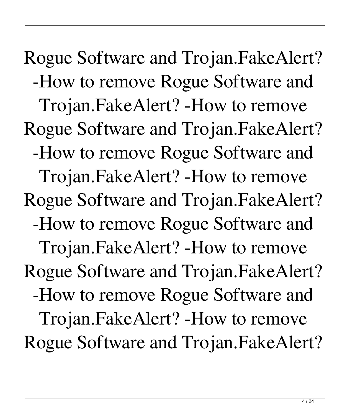Rogue Software and Trojan.FakeAlert? -How to remove Rogue Software and Trojan.FakeAlert? -How to remove Rogue Software and Trojan.FakeAlert? -How to remove Rogue Software and Trojan.FakeAlert? -How to remove Rogue Software and Trojan.FakeAlert? -How to remove Rogue Software and Trojan.FakeAlert? -How to remove Rogue Software and Trojan.FakeAlert? -How to remove Rogue Software and Trojan.FakeAlert? -How to remove Rogue Software and Trojan.FakeAlert?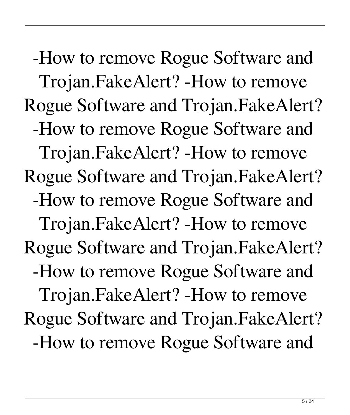-How to remove Rogue Software and Trojan.FakeAlert? -How to remove Rogue Software and Trojan.FakeAlert? -How to remove Rogue Software and Trojan.FakeAlert? -How to remove Rogue Software and Trojan.FakeAlert? -How to remove Rogue Software and Trojan.FakeAlert? -How to remove Rogue Software and Trojan.FakeAlert? -How to remove Rogue Software and Trojan.FakeAlert? -How to remove Rogue Software and Trojan.FakeAlert? -How to remove Rogue Software and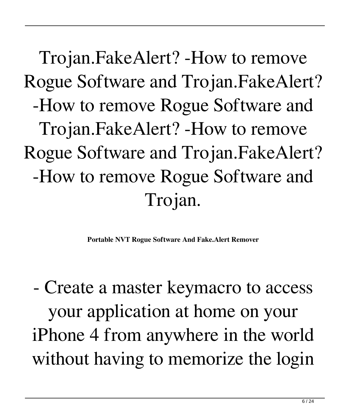Trojan.FakeAlert? -How to remove Rogue Software and Trojan.FakeAlert? -How to remove Rogue Software and Trojan.FakeAlert? -How to remove Rogue Software and Trojan.FakeAlert? -How to remove Rogue Software and Trojan.

**Portable NVT Rogue Software And Fake.Alert Remover**

- Create a master keymacro to access your application at home on your iPhone 4 from anywhere in the world without having to memorize the login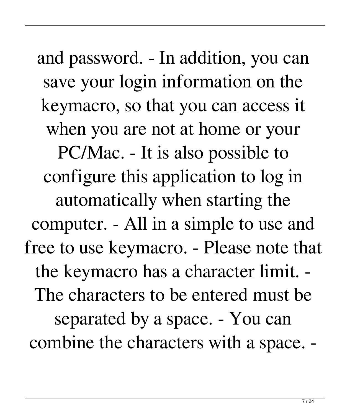and password. - In addition, you can save your login information on the keymacro, so that you can access it when you are not at home or your PC/Mac. - It is also possible to configure this application to log in automatically when starting the computer. - All in a simple to use and free to use keymacro. - Please note that the keymacro has a character limit. - The characters to be entered must be separated by a space. - You can combine the characters with a space. -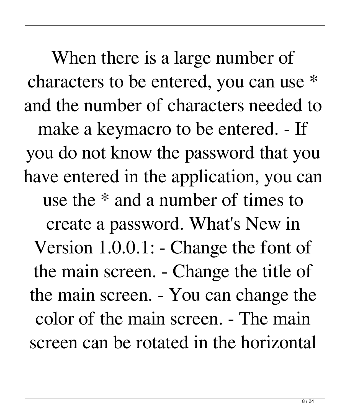When there is a large number of characters to be entered, you can use \* and the number of characters needed to make a keymacro to be entered. - If you do not know the password that you have entered in the application, you can use the \* and a number of times to create a password. What's New in Version 1.0.0.1: - Change the font of the main screen. - Change the title of the main screen. - You can change the color of the main screen. - The main screen can be rotated in the horizontal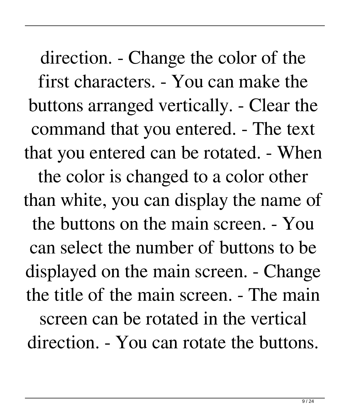direction. - Change the color of the first characters. - You can make the buttons arranged vertically. - Clear the command that you entered. - The text that you entered can be rotated. - When the color is changed to a color other than white, you can display the name of the buttons on the main screen. - You can select the number of buttons to be displayed on the main screen. - Change the title of the main screen. - The main screen can be rotated in the vertical direction. - You can rotate the buttons.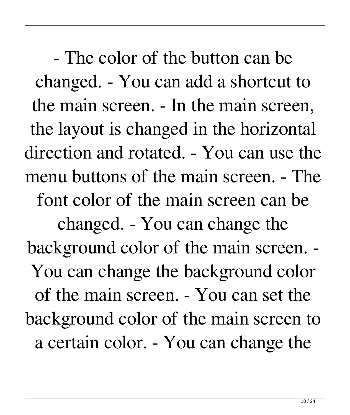- The color of the button can be changed. - You can add a shortcut to the main screen. - In the main screen, the layout is changed in the horizontal direction and rotated. - You can use the menu buttons of the main screen. - The font color of the main screen can be changed. - You can change the background color of the main screen. - You can change the background color of the main screen. - You can set the background color of the main screen to a certain color. - You can change the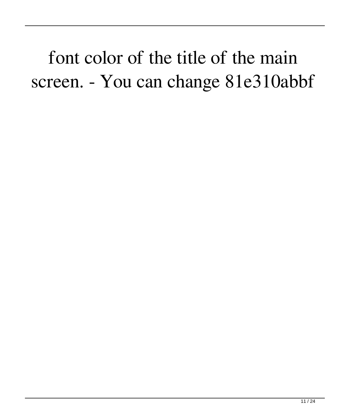font color of the title of the main screen. - You can change 81e310abbf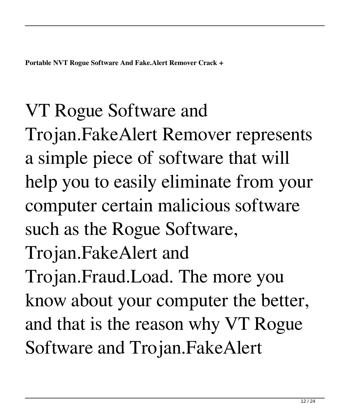### VT Rogue Software and

Trojan.FakeAlert Remover represents a simple piece of software that will help you to easily eliminate from your computer certain malicious software such as the Rogue Software, Trojan.FakeAlert and Trojan.Fraud.Load. The more you know about your computer the better, and that is the reason why VT Rogue Software and Trojan.FakeAlert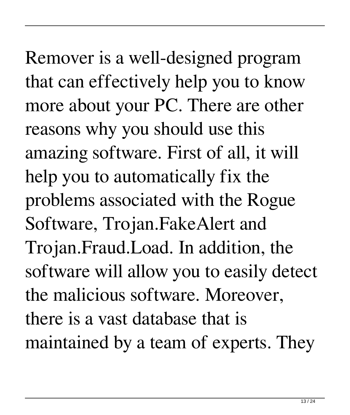Remover is a well-designed program that can effectively help you to know more about your PC. There are other reasons why you should use this amazing software. First of all, it will help you to automatically fix the problems associated with the Rogue Software, Trojan.FakeAlert and Trojan.Fraud.Load. In addition, the software will allow you to easily detect the malicious software. Moreover, there is a vast database that is maintained by a team of experts. They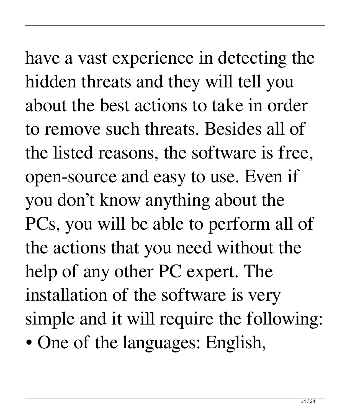have a vast experience in detecting the hidden threats and they will tell you about the best actions to take in order to remove such threats. Besides all of the listed reasons, the software is free, open-source and easy to use. Even if you don't know anything about the PCs, you will be able to perform all of the actions that you need without the help of any other PC expert. The installation of the software is very simple and it will require the following: • One of the languages: English,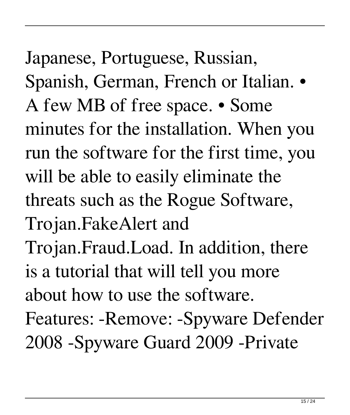Japanese, Portuguese, Russian, Spanish, German, French or Italian. • A few MB of free space. • Some minutes for the installation. When you run the software for the first time, you will be able to easily eliminate the threats such as the Rogue Software, Trojan.FakeAlert and Trojan.Fraud.Load. In addition, there is a tutorial that will tell you more about how to use the software. Features: -Remove: -Spyware Defender 2008 -Spyware Guard 2009 -Private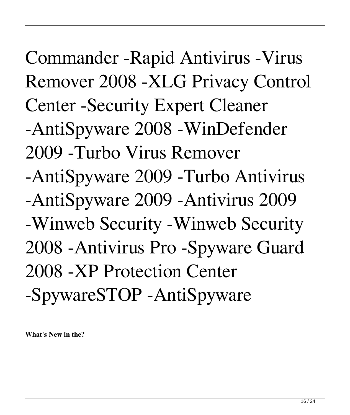Commander -Rapid Antivirus -Virus Remover 2008 -XLG Privacy Control Center -Security Expert Cleaner -AntiSpyware 2008 -WinDefender 2009 -Turbo Virus Remover -AntiSpyware 2009 -Turbo Antivirus -AntiSpyware 2009 -Antivirus 2009 -Winweb Security -Winweb Security 2008 -Antivirus Pro -Spyware Guard 2008 -XP Protection Center -SpywareSTOP -AntiSpyware

**What's New in the?**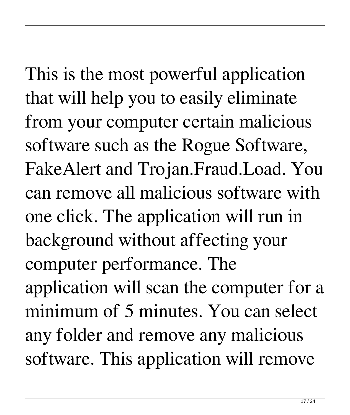This is the most powerful application that will help you to easily eliminate from your computer certain malicious software such as the Rogue Software, FakeAlert and Trojan.Fraud.Load. You can remove all malicious software with one click. The application will run in background without affecting your computer performance. The application will scan the computer for a minimum of 5 minutes. You can select any folder and remove any malicious software. This application will remove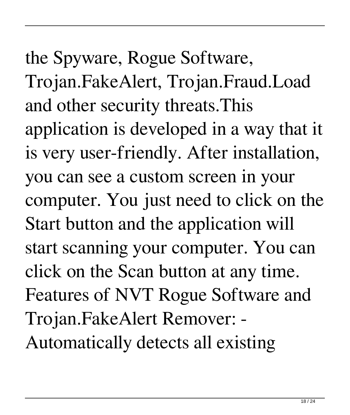the Spyware, Rogue Software, Trojan.FakeAlert, Trojan.Fraud.Load and other security threats.This application is developed in a way that it is very user-friendly. After installation, you can see a custom screen in your computer. You just need to click on the Start button and the application will start scanning your computer. You can click on the Scan button at any time. Features of NVT Rogue Software and Trojan.FakeAlert Remover: - Automatically detects all existing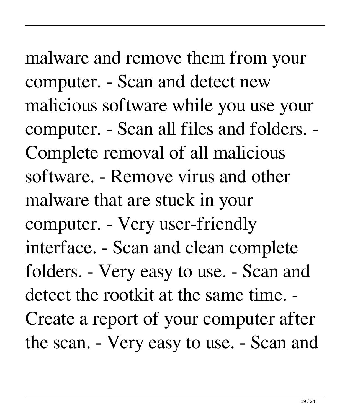malware and remove them from your computer. - Scan and detect new malicious software while you use your computer. - Scan all files and folders. - Complete removal of all malicious software. - Remove virus and other malware that are stuck in your computer. - Very user-friendly interface. - Scan and clean complete folders. - Very easy to use. - Scan and detect the rootkit at the same time. - Create a report of your computer after the scan. - Very easy to use. - Scan and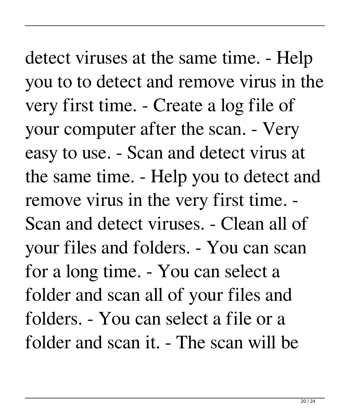detect viruses at the same time. - Help you to to detect and remove virus in the very first time. - Create a log file of your computer after the scan. - Very easy to use. - Scan and detect virus at the same time. - Help you to detect and remove virus in the very first time. - Scan and detect viruses. - Clean all of your files and folders. - You can scan for a long time. - You can select a folder and scan all of your files and folders. - You can select a file or a folder and scan it. - The scan will be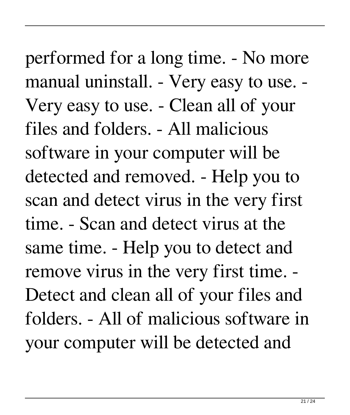performed for a long time. - No more manual uninstall. - Very easy to use. - Very easy to use. - Clean all of your files and folders. - All malicious software in your computer will be detected and removed. - Help you to scan and detect virus in the very first time. - Scan and detect virus at the same time. - Help you to detect and remove virus in the very first time. - Detect and clean all of your files and folders. - All of malicious software in your computer will be detected and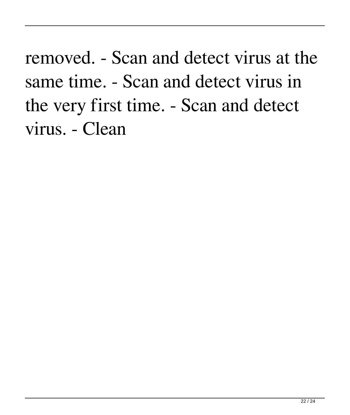removed. - Scan and detect virus at the same time. - Scan and detect virus in the very first time. - Scan and detect virus. - Clean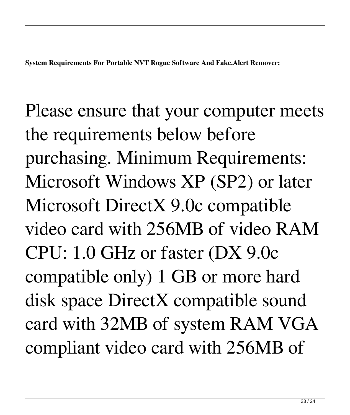Please ensure that your computer meets the requirements below before purchasing. Minimum Requirements: Microsoft Windows XP (SP2) or later Microsoft DirectX 9.0c compatible video card with 256MB of video RAM CPU: 1.0 GHz or faster (DX 9.0c compatible only) 1 GB or more hard disk space DirectX compatible sound card with 32MB of system RAM VGA compliant video card with 256MB of